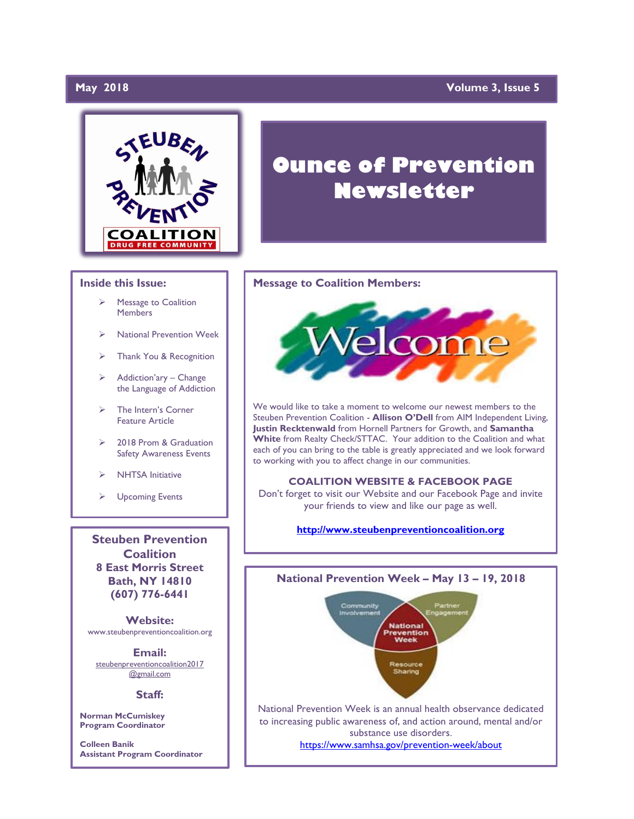# **May 2018**

# **May 2018 Volume 3, Issue 5**



## **Inside this Issue:**

- Message to Coalition Members
- ➢ National Prevention Week
- ➢ Thank You & Recognition
- $\triangleright$  Addiction'ary Change the Language of Addiction
- ➢ The Intern's Corner Feature Article
- ➢ 2018 Prom & Graduation Safety Awareness Events
- ➢ NHTSA Initiative
- ➢ Upcoming Events

**Steuben Prevention Coalition 8 East Morris Street Bath, NY 14810 (607) 776-6441**

**Website:**  www.steubenpreventioncoalition.org

**Email:**  steubenpreventioncoalition2017 @gmail.com

### **Staff:**

**Norman McCumiskey Program Coordinator**

**Colleen Banik Assistant Program Coordinator**

# **Ounce of Prevention Newsletter**

### **Message to Coalition Members:**



We would like to take a moment to welcome our newest members to the Steuben Prevention Coalition - **Allison O'Dell** from AIM Independent Living, **Justin Recktenwald** from Hornell Partners for Growth, and **Samantha White** from Realty Check/STTAC. Your addition to the Coalition and what each of you can bring to the table is greatly appreciated and we look forward to working with you to affect change in our communities.

### **COALITION WEBSITE & FACEBOOK PAGE**

Don't forget to visit our Website and our Facebook Page and invite your friends to view and like our page as well.

## **[http://www.steubenpreventioncoalition.org](http://www.steubenpreventioncoalition.org/)**

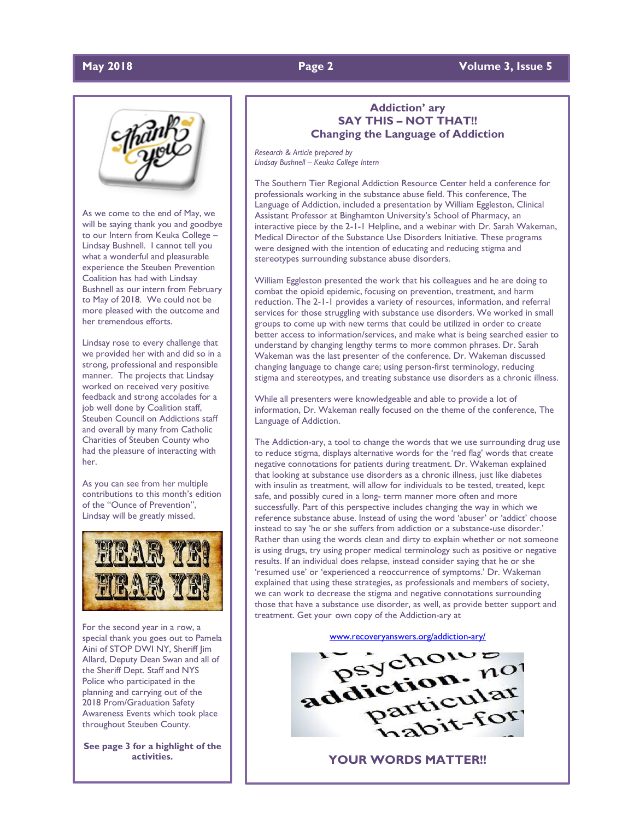# **May 2018 Page 2 Volume 3, Issue 5**

As we come to the end of May, we will be saying thank you and goodbye to our Intern from Keuka College – Lindsay Bushnell. I cannot tell you what a wonderful and pleasurable experience the Steuben Prevention Coalition has had with Lindsay Bushnell as our intern from February to May of 2018. We could not be more pleased with the outcome and her tremendous efforts.

Lindsay rose to every challenge that we provided her with and did so in a strong, professional and responsible manner. The projects that Lindsay worked on received very positive feedback and strong accolades for a job well done by Coalition staff, Steuben Council on Addictions staff and overall by many from Catholic Charities of Steuben County who had the pleasure of interacting with her.

As you can see from her multiple contributions to this month's edition of the "Ounce of Prevention", Lindsay will be greatly missed.



For the second year in a row, a special thank you goes out to Pamela Aini of STOP DWI NY, Sheriff Jim Allard, Deputy Dean Swan and all of the Sheriff Dept. Staff and NYS Police who participated in the planning and carrying out of the 2018 Prom/Graduation Safety Awareness Events which took place throughout Steuben County.

**See page 3 for a highlight of the activities.**

# **Addiction' ary SAY THIS – NOT THAT!! Changing the Language of Addiction**

*Research & Article prepared by Lindsay Bushnell – Keuka College Intern*

The Southern Tier Regional Addiction Resource Center held a conference for professionals working in the substance abuse field. This conference, The Language of Addiction, included a presentation by William Eggleston, Clinical Assistant Professor at Binghamton University's School of Pharmacy, an interactive piece by the 2-1-1 Helpline, and a webinar with Dr. Sarah Wakeman, Medical Director of the Substance Use Disorders Initiative. These programs were designed with the intention of educating and reducing stigma and stereotypes surrounding substance abuse disorders.

William Eggleston presented the work that his colleagues and he are doing to combat the opioid epidemic, focusing on prevention, treatment, and harm reduction. The 2-1-1 provides a variety of resources, information, and referral services for those struggling with substance use disorders. We worked in small groups to come up with new terms that could be utilized in order to create better access to information/services, and make what is being searched easier to understand by changing lengthy terms to more common phrases. Dr. Sarah Wakeman was the last presenter of the conference. Dr. Wakeman discussed changing language to change care; using person-first terminology, reducing stigma and stereotypes, and treating substance use disorders as a chronic illness.

While all presenters were knowledgeable and able to provide a lot of information, Dr. Wakeman really focused on the theme of the conference, The Language of Addiction.

The Addiction-ary, a tool to change the words that we use surrounding drug use to reduce stigma, displays alternative words for the 'red flag' words that create negative connotations for patients during treatment. Dr. Wakeman explained that looking at substance use disorders as a chronic illness, just like diabetes with insulin as treatment, will allow for individuals to be tested, treated, kept safe, and possibly cured in a long- term manner more often and more successfully. Part of this perspective includes changing the way in which we reference substance abuse. Instead of using the word 'abuser' or 'addict' choose instead to say 'he or she suffers from addiction or a substance-use disorder.' Rather than using the words clean and dirty to explain whether or not someone is using drugs, try using proper medical terminology such as positive or negative results. If an individual does relapse, instead consider saying that he or she 'resumed use' or 'experienced a reoccurrence of symptoms.' Dr. Wakeman explained that using these strategies, as professionals and members of society, we can work to decrease the stigma and negative connotations surrounding those that have a substance use disorder, as well, as provide better support and treatment. Get your own copy of the Addiction-ary at



**YOUR WORDS MATTER!!**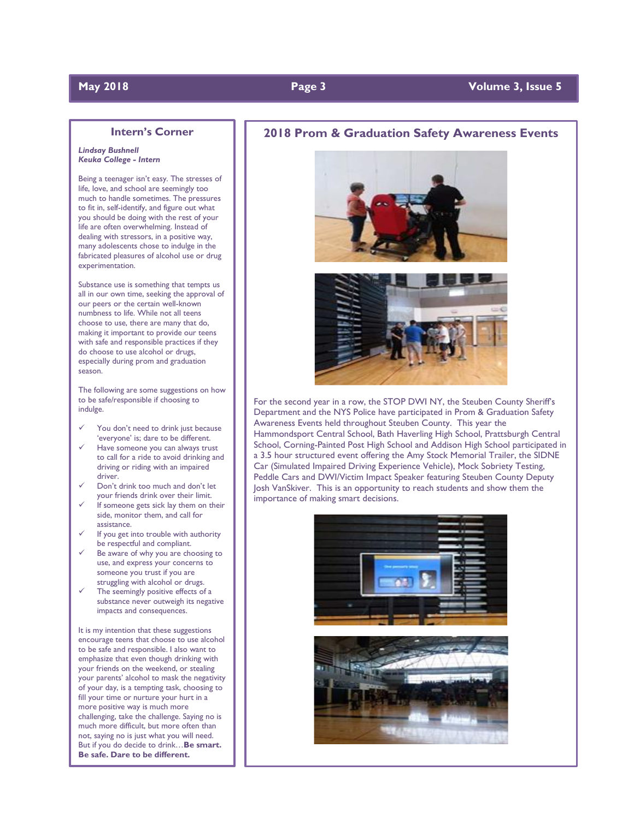# **May 2018 Page 3 Volume 3, Issue 5**

### **Intern's Corner**

### *Lindsay Bushnell Keuka College - Intern*

Being a teenager isn't easy. The stresses of life, love, and school are seemingly too much to handle sometimes. The pressures to fit in, self-identify, and figure out what you should be doing with the rest of your life are often overwhelming. Instead of dealing with stressors, in a positive way, many adolescents chose to indulge in the fabricated pleasures of alcohol use or drug experimentation.

Substance use is something that tempts us all in our own time, seeking the approval of our peers or the certain well-known numbness to life. While not all teens choose to use, there are many that do, making it important to provide our teens with safe and responsible practices if they do choose to use alcohol or drugs, especially during prom and graduation season.

The following are some suggestions on how to be safe/responsible if choosing to indulge.

- You don't need to drink just because 'everyone' is; dare to be different.
- Have someone you can always trust to call for a ride to avoid drinking and driving or riding with an impaired driver.
- Don't drink too much and don't let your friends drink over their limit.
- If someone gets sick lay them on their side, monitor them, and call for assistance.
- If you get into trouble with authority be respectful and compliant.
- Be aware of why you are choosing to use, and express your concerns to someone you trust if you are struggling with alcohol or drugs.
- The seemingly positive effects of a substance never outweigh its negative impacts and consequences.

It is my intention that these suggestions encourage teens that choose to use alcohol to be safe and responsible. I also want to emphasize that even though drinking with your friends on the weekend, or stealing your parents' alcohol to mask the negativity of your day, is a tempting task, choosing to fill your time or nurture your hurt in a more positive way is much more challenging, take the challenge. Saying no is much more difficult, but more often than not, saying no is just what you will need. But if you do decide to drink…**Be smart. Be safe. Dare to be different.**

 $\overline{a}$ 

# **2018 Prom & Graduation Safety Awareness Events**





For the second year in a row, the STOP DWI NY, the Steuben County Sheriff's Department and the NYS Police have participated in Prom & Graduation Safety Awareness Events held throughout Steuben County. This year the Hammondsport Central School, Bath Haverling High School, Prattsburgh Central School, Corning-Painted Post High School and Addison High School participated in a 3.5 hour structured event offering the Amy Stock Memorial Trailer, the SIDNE Car (Simulated Impaired Driving Experience Vehicle), Mock Sobriety Testing, Peddle Cars and DWI/Victim Impact Speaker featuring Steuben County Deputy Josh VanSkiver. This is an opportunity to reach students and show them the importance of making smart decisions.